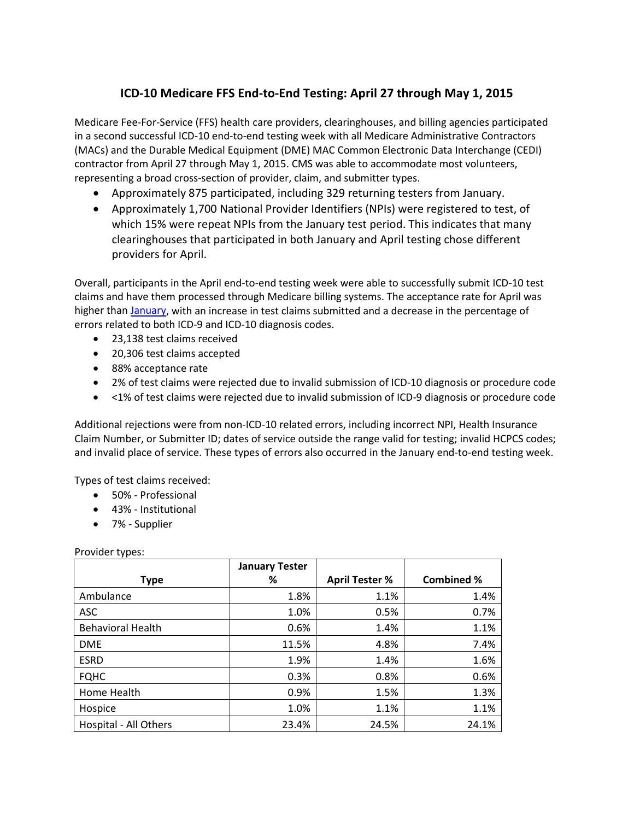## **ICD-10 Medicare FFS End-to-End Testing: April 27 through May 1, 2015**

Medicare Fee-For-Service (FFS) health care providers, clearinghouses, and billing agencies participated in a second successful ICD-10 end-to-end testing week with all Medicare Administrative Contractors (MACs) and the Durable Medical Equipment (DME) MAC Common Electronic Data Interchange (CEDI) contractor from April 27 through May 1, 2015. CMS was able to accommodate most volunteers, representing a broad cross-section of provider, claim, and submitter types.

- Approximately 875 participated, including 329 returning testers from January.
- Approximately 1,700 National Provider Identifiers (NPIs) were registered to test, of which 15% were repeat NPIs from the January test period. This indicates that many clearinghouses that participated in both January and April testing chose different providers for April.

Overall, participants in the April end-to-end testing week were able to successfully submit ICD-10 test claims and have them processed through Medicare billing systems. The acceptance rate for April was higher than [January,](http://www.cms.gov/Medicare/Coding/ICD10/Downloads/2015-Jan-End-to-End-Testing.pdf) with an increase in test claims submitted and a decrease in the percentage of errors related to both ICD-9 and ICD-10 diagnosis codes.

- 23,138 test claims received
- 20,306 test claims accepted
- 88% acceptance rate
- 2% of test claims were rejected due to invalid submission of ICD-10 diagnosis or procedure code
- <1% of test claims were rejected due to invalid submission of ICD-9 diagnosis or procedure code

Additional rejections were from non-ICD-10 related errors, including incorrect NPI, Health Insurance Claim Number, or Submitter ID; dates of service outside the range valid for testing; invalid HCPCS codes; and invalid place of service. These types of errors also occurred in the January end-to-end testing week.

Types of test claims received:

- 50% Professional
- 43% Institutional
- 7% Supplier

Provider types:

|                          | <b>January Tester</b> |                       |                   |
|--------------------------|-----------------------|-----------------------|-------------------|
| <b>Type</b>              | %                     | <b>April Tester %</b> | <b>Combined %</b> |
| Ambulance                | 1.8%                  | 1.1%                  | 1.4%              |
| <b>ASC</b>               | 1.0%                  | 0.5%                  | 0.7%              |
| <b>Behavioral Health</b> | 0.6%                  | 1.4%                  | 1.1%              |
| <b>DME</b>               | 11.5%                 | 4.8%                  | 7.4%              |
| <b>ESRD</b>              | 1.9%                  | 1.4%                  | 1.6%              |
| <b>FQHC</b>              | 0.3%                  | 0.8%                  | 0.6%              |
| Home Health              | 0.9%                  | 1.5%                  | 1.3%              |
| Hospice                  | 1.0%                  | 1.1%                  | 1.1%              |
| Hospital - All Others    | 23.4%                 | 24.5%                 | 24.1%             |